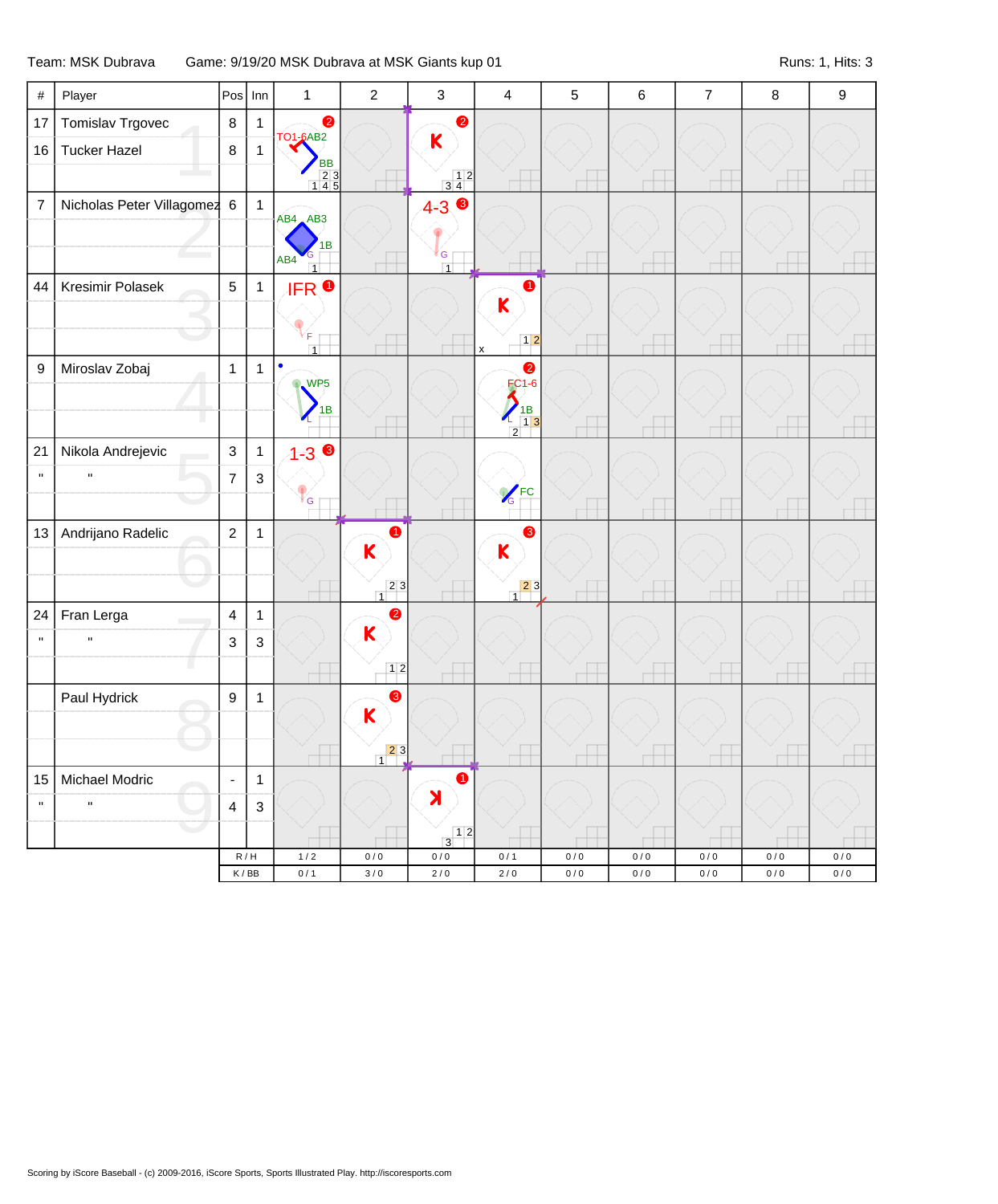## Team: MSK Dubrava Game: 9/19/20 MSK Dubrava at MSK Giants kup 01 Channel Communication Channel Runs: 1, Hits: 3

| $\#$             | Player                      | $Pos$ Inn                |                           | $\mathbf{1}$                             | $\overline{2}$                         | $\mathsf 3$                                       | 4                                                              | $\overline{5}$ | 6              | $\overline{7}$ | 8                  | $\boldsymbol{9}$ |
|------------------|-----------------------------|--------------------------|---------------------------|------------------------------------------|----------------------------------------|---------------------------------------------------|----------------------------------------------------------------|----------------|----------------|----------------|--------------------|------------------|
| 17               | Tomislav Trgovec            | $\bf 8$                  | $\mathbf{1}$              | $\bullet$                                |                                        | $\bullet$                                         |                                                                |                |                |                |                    |                  |
| 16               | <b>Tucker Hazel</b>         | $\bf 8$                  | $\mathbf{1}$              | <b>TO1-6AB2</b><br><b>BB</b>             |                                        | $\mathsf K$                                       |                                                                |                |                |                |                    |                  |
|                  |                             |                          |                           | $\begin{array}{r} 23 \\ 145 \end{array}$ |                                        | $\begin{array}{c} 12 \\ 34 \end{array}$           |                                                                |                |                |                |                    |                  |
| $\overline{7}$   | Nicholas Peter Villagomez 6 |                          | $\overline{1}$            | AB4 AB3                                  |                                        | $4 - 3$                                           |                                                                |                |                |                |                    |                  |
|                  |                             |                          |                           | 1B                                       |                                        |                                                   |                                                                |                |                |                |                    |                  |
|                  |                             |                          |                           | AB4<br>$\overline{1}$                    |                                        | G<br>$\overline{1}$                               |                                                                |                |                |                |                    |                  |
| 44               | Kresimir Polasek            | $\overline{5}$           | $\mathbf{1}$              | <b>IFRO</b>                              |                                        |                                                   | $\bullet$                                                      |                |                |                |                    |                  |
|                  |                             |                          |                           |                                          |                                        |                                                   | $\overline{\mathsf{K}}$                                        |                |                |                |                    |                  |
|                  |                             |                          |                           | F<br>$\overline{1}$                      |                                        |                                                   | $12$<br>x                                                      |                |                |                |                    |                  |
| $\boldsymbol{9}$ | Miroslav Zobaj              | $\mathbf{1}$             | $\mathbf{1}$              | $\bullet$<br><b>WP5</b>                  |                                        |                                                   | $\bullet$<br><b>FC1-6</b>                                      |                |                |                |                    |                  |
|                  |                             |                          |                           | 1B                                       |                                        |                                                   |                                                                |                |                |                |                    |                  |
|                  |                             |                          |                           |                                          |                                        |                                                   | $\begin{array}{c} \n 1B \\ 13\n \end{array}$<br>$\overline{2}$ |                |                |                |                    |                  |
| 21               | Nikola Andrejevic           | $\mathfrak{S}$           | $\mathbf{1}$              | $1 - 3$ $\bullet$                        |                                        |                                                   |                                                                |                |                |                |                    |                  |
| $\mathbf{u}$     |                             | $\overline{7}$           | $\mathbf{3}$              |                                          |                                        |                                                   | <b>C</b> FC                                                    |                |                |                |                    |                  |
|                  |                             |                          |                           | <sup>V</sup> G                           |                                        |                                                   |                                                                |                |                |                |                    |                  |
| 13               | Andrijano Radelic           | $\overline{2}$           | $\mathbf{1}$              |                                          | $\bullet$                              |                                                   | 8                                                              |                |                |                |                    |                  |
|                  |                             |                          |                           |                                          | $\overline{\mathsf{K}}$                |                                                   | K                                                              |                |                |                |                    |                  |
|                  |                             |                          |                           |                                          | $\begin{array}{c c} 2 & 3 \end{array}$ |                                                   | $\begin{array}{c c} 2 & 3 \\ 1 & 3 \end{array}$                |                |                |                |                    |                  |
| 24               | Fran Lerga                  | $\overline{4}$           | $\mathbf{1}$              |                                          | $\bullet$                              |                                                   |                                                                |                |                |                |                    |                  |
| $\mathbf{u}$     | $\mathbf{u}$                | $\mathfrak{B}$           | $\mathbf{3}$              |                                          | K                                      |                                                   |                                                                |                |                |                |                    |                  |
|                  |                             |                          |                           |                                          | 12                                     |                                                   |                                                                |                |                |                |                    |                  |
|                  | Paul Hydrick                | $\boldsymbol{9}$         | $\mathbf{1}$              |                                          | ❸                                      |                                                   |                                                                |                |                |                |                    |                  |
|                  |                             |                          |                           |                                          | $\boldsymbol{\mathsf{K}}$              |                                                   |                                                                |                |                |                |                    |                  |
|                  |                             |                          |                           |                                          | 23                                     |                                                   |                                                                |                |                |                |                    |                  |
| 15               | Michael Modric              | $\overline{\phantom{a}}$ | $\mathbf{1}$              |                                          |                                        | $\bullet$                                         |                                                                |                |                |                |                    |                  |
| $\mathbf{u}$     | $\mathbf{H}$                | $\overline{4}$           | $\ensuremath{\mathsf{3}}$ |                                          |                                        | X                                                 |                                                                |                |                |                |                    |                  |
|                  |                             |                          |                           |                                          |                                        | $\begin{array}{c c} & 1 & 2 \\ 3 & & \end{array}$ |                                                                |                |                |                |                    |                  |
|                  |                             | K/BB                     | $\mathsf R\,/\,\mathsf H$ | $1/2$<br>0/1                             | $0/0$<br>$3/0$                         | $0\,/\,0$<br>$2/0$                                | 0/1<br>$2/0$                                                   | 0/0<br>0/0     | $0/0$<br>$0/0$ | $0/0$<br>0/0   | $0\,/\,0$<br>$0/0$ | 0/0<br>$0/0$     |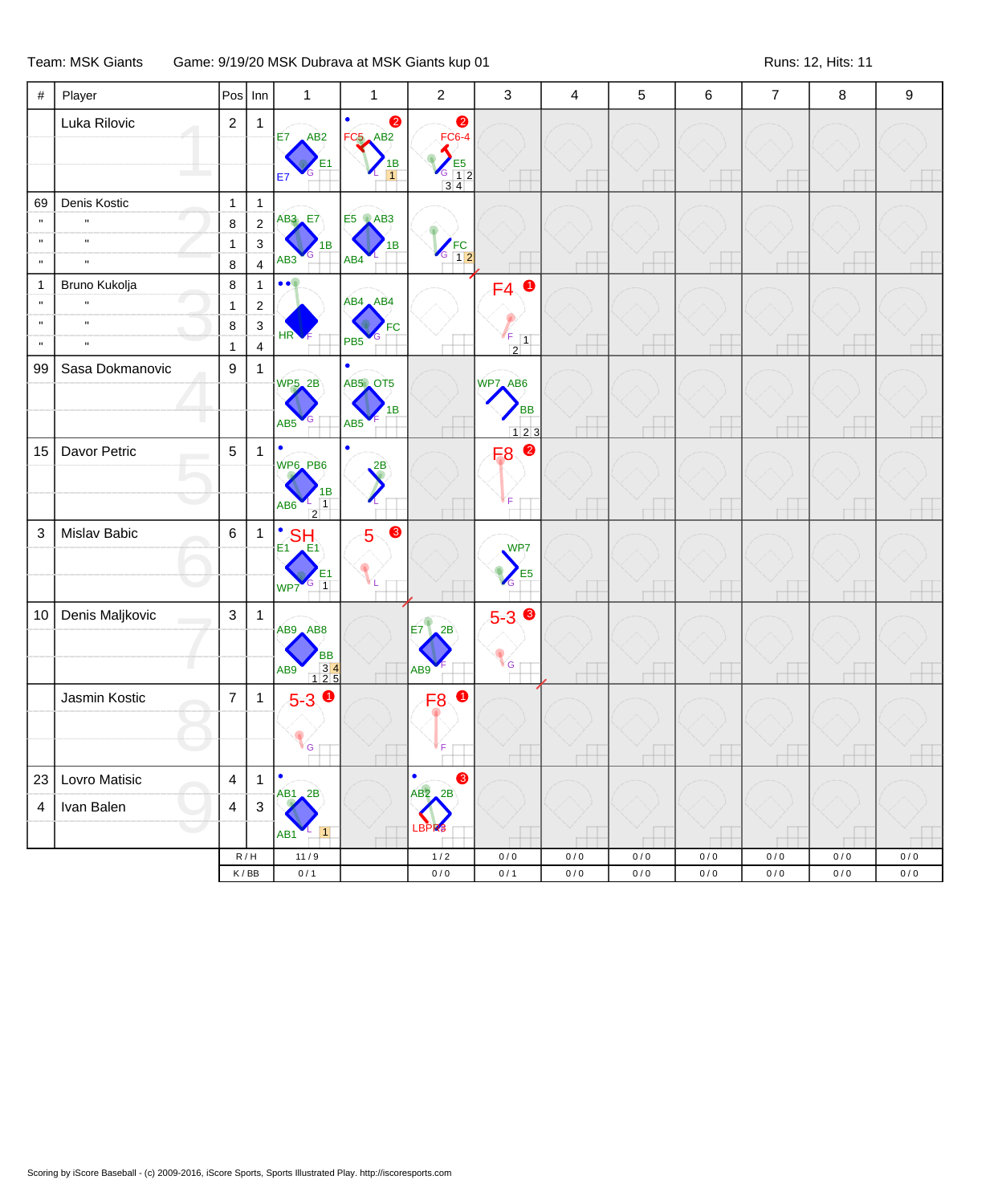## Team: MSK Giants Game: 9/19/20 MSK Dubrava at MSK Giants kup 01 Changed Camps and Runs: 12, Hits: 11

| $\#$                                                        | Player                                                        | Pos                                          | Inn                                                                       | $\mathbf{1}$                                                  | 1                                             | $\overline{2}$                               | 3                                             | 4          | $\sqrt{5}$               | 6                        | $\overline{7}$ | 8            | $\boldsymbol{9}$ |
|-------------------------------------------------------------|---------------------------------------------------------------|----------------------------------------------|---------------------------------------------------------------------------|---------------------------------------------------------------|-----------------------------------------------|----------------------------------------------|-----------------------------------------------|------------|--------------------------|--------------------------|----------------|--------------|------------------|
|                                                             | Luka Rilovic                                                  | $\overline{2}$                               | $\mathbf 1$                                                               | $E7$ $AB2$<br><b>E7</b>                                       | $\bullet$<br>FC5 AB2<br>1В                    | $\bullet$<br><b>FC6-4</b><br>$\frac{12}{34}$ |                                               |            |                          |                          |                |              |                  |
| 69<br>$\mathbf{u}$<br>$\mathbf u$<br>$\mathbf{u}$           | Denis Kostic<br>$\mathbf{u}$<br>$\mathbf{u}$<br>$\mathbf{u}$  | $\mathbf{1}$<br>8<br>1<br>$\bf 8$            | $\mathbf{1}$<br>$\overline{2}$<br>$\mathbf{3}$<br>$\overline{\mathbf{4}}$ | <b>AB3</b> E7<br>1B<br>AB <sub>3</sub>                        | <b>E5</b> AB3<br>1B<br>AB4                    | $\sqrt{\frac{FC}{12}}$                       |                                               |            | $\overline{\phantom{a}}$ | $\overline{\phantom{a}}$ |                |              |                  |
| $\mathbf{1}$<br>$\mathbf u$<br>$\mathbf{u}$<br>$\mathbf{u}$ | Bruno Kukolja<br>$\mathbf{u}$<br>$\mathbf{u}$<br>$\mathbf{u}$ | $\bf 8$<br>$\mathbf{1}$<br>8<br>$\mathbf{1}$ | $\mathbf{1}$<br>$\overline{c}$<br>$\mathsf 3$<br>$\overline{\mathbf{4}}$  | $\bullet\bullet$<br>HR <sup></sup>                            | AB4 AB4<br>FC<br>PB <sub>5</sub>              |                                              | $FA$ 0<br>₹F<br>$\boxed{1}$<br>$\overline{2}$ |            |                          |                          |                |              |                  |
| 99                                                          | Sasa Dokmanovic                                               | $9\,$                                        | $\mathbf{1}$                                                              | <b>WP5_2B</b><br>AB <sub>5</sub>                              | $\bullet$<br>AB5 OT5<br>1B<br>AB <sub>5</sub> |                                              | WP7_AB6<br><b>BB</b><br>$123$                 |            | $\overline{a}$           | $\overline{a}$           |                |              |                  |
| 15                                                          | Davor Petric                                                  | $5\phantom{.0}$                              | $\mathbf{1}$                                                              | ٠<br>WP6_PB6<br>1В<br>$\overline{1}$<br>AB6<br>$\overline{2}$ | $\mathsf{L}^2$                                |                                              | 2<br>F <sub>8</sub><br>ľF                     |            |                          |                          |                |              |                  |
| $\mathsf 3$                                                 | Mislav Babic                                                  | $6\overline{6}$                              | $\mathbf{1}$                                                              | $\bullet$<br><b>SHA</b><br>$E_1$<br>E1<br>$G_{1}$<br>WP7      | $\bullet$<br>$\overline{5}$                   |                                              | WP <sub>7</sub><br>E <sub>5</sub><br>G        |            | $\overline{\phantom{a}}$ | $^+$                     |                |              |                  |
| 10                                                          | Denis Maljkovic                                               | $\mathbf{3}$                                 | $\mathbf{1}$                                                              | AB9 AB8<br>BB<br>34<br>125<br>AB9                             |                                               | F7<br>2B<br>AB9                              | $5 - 3$ $\odot$<br><b>VG</b>                  |            |                          |                          |                |              |                  |
|                                                             | Jasmin Kostic                                                 | $\overline{7}$                               | $\mathbf{1}$                                                              | $5-3$ 0<br>G                                                  |                                               | <b>F80</b>                                   |                                               |            |                          |                          |                |              |                  |
| 23<br>$\overline{\mathbf{4}}$                               | Lovro Matisic<br>Ivan Balen                                   | $\overline{4}$<br>$\overline{4}$             | 1<br>$\ensuremath{\mathsf{3}}$                                            | $\bullet$<br>$AB1$ $2B$<br>$\vert$ 1<br>AB <sub>1</sub>       |                                               | $\bullet$<br>❸<br>AB2<br>2B                  |                                               |            |                          |                          |                |              |                  |
|                                                             |                                                               |                                              | R/H<br>$\mathsf K\,/\,\mathsf{B}\mathsf{B}$                               | $11/9$<br>0/1                                                 |                                               | $1/2$<br>$0/0$                               | $0/0$<br>0/1                                  | 0/0<br>0/0 | 0/0<br>0/0               | 0/0<br>$0/0$             | 0/0<br>$0/0$   | 0/0<br>$0/0$ | 0/0<br>0/0       |